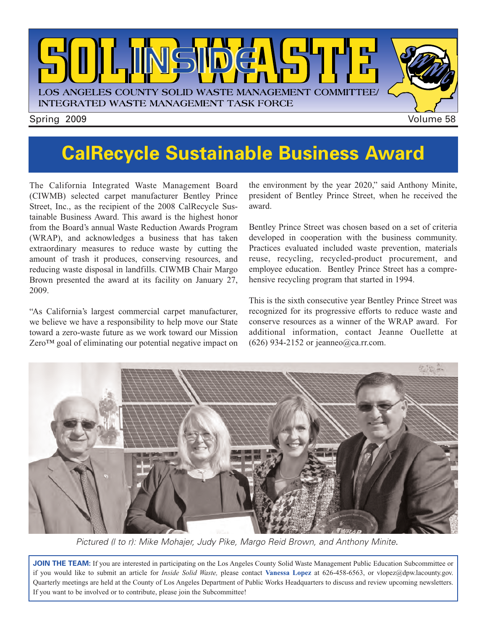

# **CalRecycle Sustainable Business Award**

The California Integrated Waste Management Board (CIWMB) selected carpet manufacturer Bentley Prince Street, Inc., as the recipient of the 2008 CalRecycle Sustainable Business Award. This award is the highest honor from the Board's annual Waste Reduction Awards Program (WRAP), and acknowledges a business that has taken extraordinary measures to reduce waste by cutting the amount of trash it produces, conserving resources, and reducing waste disposal in landfills. CIWMB Chair Margo Brown presented the award at its facility on January 27, 2009.

"As California's largest commercial carpet manufacturer, we believe we have a responsibility to help move our State toward a zero-waste future as we work toward our Mission Zero™ goal of eliminating our potential negative impact on the environment by the year 2020," said Anthony Minite, president of Bentley Prince Street, when he received the award.

Bentley Prince Street was chosen based on a set of criteria developed in cooperation with the business community. Practices evaluated included waste prevention, materials reuse, recycling, recycled-product procurement, and employee education. Bentley Prince Street has a comprehensive recycling program that started in 1994.

This is the sixth consecutive year Bentley Prince Street was recognized for its progressive efforts to reduce waste and conserve resources as a winner of the WRAP award. For additional information, contact Jeanne Ouellette at  $(626)$  934-2152 or jeanneo@ca.rr.com.



*Pictured (l to r): Mike Mohajer, Judy Pike, Margo Reid Brown, and Anthony Minite*.

**JOIN THE TEAM:** If you are interested in participating on the Los Angeles County Solid Waste Management Public Education Subcommittee or if you would like to submit an article for *Inside Solid Waste,* please contact **Vanessa Lopez** at 626-458-6563, or [vlopez@dpw.lacounty.gov.](mailto://vlopez@dpw.lacounty.gov.) Quarterly meetings are held at the County of Los Angeles Department of Public Works Headquarters to discuss and review upcoming newsletters. If you want to be involved or to contribute, please join the Subcommittee!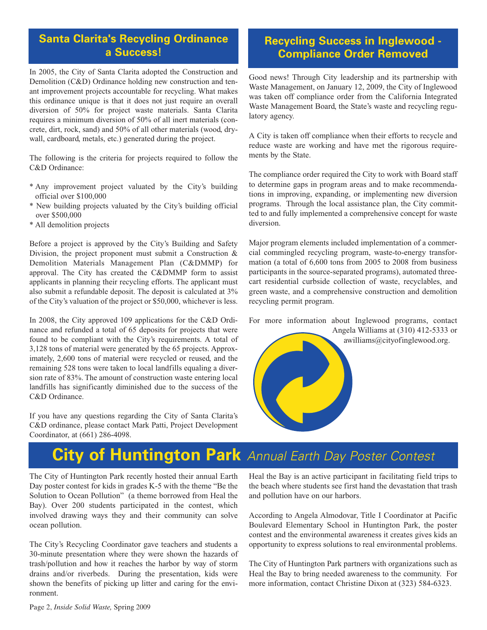#### **Santa Clarita's Recycling Ordinance a Success!**

In 2005, the City of Santa Clarita adopted the Construction and Demolition (C&D) Ordinance holding new construction and tenant improvement projects accountable for recycling. What makes this ordinance unique is that it does not just require an overall diversion of 50% for project waste materials. Santa Clarita requires a minimum diversion of 50% of all inert materials (concrete, dirt, rock, sand) and 50% of all other materials (wood, drywall, cardboard, metals, etc.) generated during the project.

The following is the criteria for projects required to follow the C&D Ordinance:

- \* Any improvement project valuated by the City's building official over \$100,000
- \* New building projects valuated by the City's building official over \$500,000
- \* All demolition projects

Before a project is approved by the City's Building and Safety Division, the project proponent must submit a Construction & Demolition Materials Management Plan (C&DMMP) for approval. The City has created the C&DMMP form to assist applicants in planning their recycling efforts. The applicant must also submit a refundable deposit. The deposit is calculated at 3% of the City's valuation of the project or \$50,000, whichever is less.

In 2008, the City approved 109 applications for the C&D Ordinance and refunded a total of 65 deposits for projects that were found to be compliant with the City's requirements. A total of 3,128 tons of material were generated by the 65 projects. Approximately, 2,600 tons of material were recycled or reused, and the remaining 528 tons were taken to local landfills equaling a diversion rate of 83%. The amount of construction waste entering local landfills has significantly diminished due to the success of the C&D Ordinance.

If you have any questions regarding the City of Santa Clarita's C&D ordinance, please contact Mark Patti, Project Development Coordinator, at (661) 286-4098.

#### **Recycling Success in Inglewood - Compliance Order Removed**

Good news! Through City leadership and its partnership with Waste Management, on January 12, 2009, the City of Inglewood was taken off compliance order from the California Integrated Waste Management Board, the State's waste and recycling regulatory agency.

A City is taken off compliance when their efforts to recycle and reduce waste are working and have met the rigorous requirements by the State.

The compliance order required the City to work with Board staff to determine gaps in program areas and to make recommendations in improving, expanding, or implementing new diversion programs. Through the local assistance plan, the City committed to and fully implemented a comprehensive concept for waste diversion.

Major program elements included implementation of a commercial commingled recycling program, waste-to-energy transformation (a total of 6,600 tons from 2005 to 2008 from business participants in the source-separated programs), automated threecart residential curbside collection of waste, recyclables, and green waste, and a comprehensive construction and demolition recycling permit program.

For more information about Inglewood programs, contact



## **[City of Huntington Park](http://www.huntingtonpark.org/)** *Annual Earth Day Poster Contest*

The City of Huntington Park recently hosted their annual Earth Day poster contest for kids in grades K-5 with the theme "Be the Solution to Ocean Pollution" (a theme borrowed from Heal the Bay). Over 200 students participated in the contest, which involved drawing ways they and their community can solve ocean pollution.

The City's Recycling Coordinator gave teachers and students a 30-minute presentation where they were shown the hazards of trash/pollution and how it reaches the harbor by way of storm drains and/or riverbeds. During the presentation, kids were shown the benefits of picking up litter and caring for the environment.

Heal the Bay is an active participant in facilitating field trips to the beach where students see first hand the devastation that trash and pollution have on our harbors.

According to Angela Almodovar, Title I Coordinator at Pacific Boulevard Elementary School in Huntington Park, the poster contest and the environmental awareness it creates gives kids an opportunity to express solutions to real environmental problems.

The City of Huntington Park partners with organizations such as Heal the Bay to bring needed awareness to the community. For more information, contact Christine Dixon at (323) 584-6323.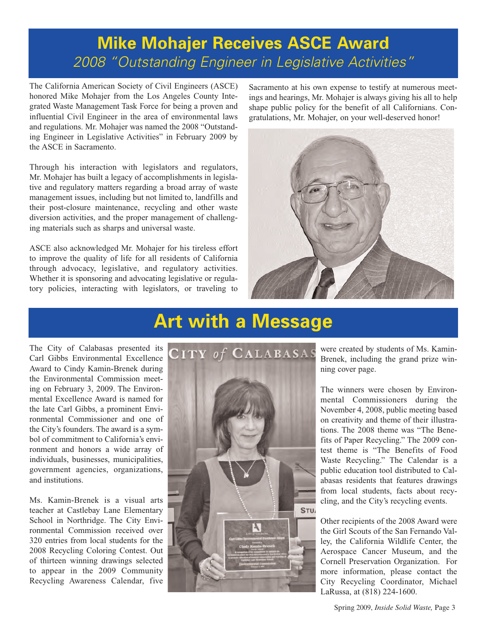## **Mike Mohajer Receives ASCE Award** *2008 "Outstanding Engineer in Legislative Activities"*

The California American Society of Civil Engineers (ASCE) honored Mike Mohajer from the Los Angeles County Integrated Waste Management Task Force for being a proven and influential Civil Engineer in the area of environmental laws and regulations. Mr. Mohajer was named the 2008 "Outstanding Engineer in Legislative Activities" in February 2009 by the ASCE in Sacramento.

Through his interaction with legislators and regulators, Mr. Mohajer has built a legacy of accomplishments in legislative and regulatory matters regarding a broad array of waste management issues, including but not limited to, landfills and their post-closure maintenance, recycling and other waste diversion activities, and the proper management of challenging materials such as sharps and universal waste.

ASCE also acknowledged Mr. Mohajer for his tireless effort to improve the quality of life for all residents of California through advocacy, legislative, and regulatory activities. Whether it is sponsoring and advocating legislative or regulatory policies, interacting with legislators, or traveling to

Sacramento at his own expense to testify at numerous meetings and hearings, Mr. Mohajer is always giving his all to help shape public policy for the benefit of all Californians. Congratulations, Mr. Mohajer, on your well-deserved honor!



# **Art with a Message**

The City of Calabasas presented its Carl Gibbs Environmental Excellence Award to Cindy Kamin-Brenek during the Environmental Commission meeting on February 3, 2009. The Environmental Excellence Award is named for the late Carl Gibbs, a prominent Environmental Commissioner and one of the City's founders. The award is a symbol of commitment to California's environment and honors a wide array of individuals, businesses, municipalities, government agencies, organizations, and institutions.

Ms. Kamin-Brenek is a visual arts teacher at Castlebay Lane Elementary School in Northridge. The City Environmental Commission received over 320 entries from local students for the 2008 Recycling Coloring Contest. Out of thirteen winning drawings selected to appear in the 2009 Community Recycling Awareness Calendar, five



were created by students of Ms. Kamin-Brenek, including the grand prize winning cover page.

The winners were chosen by Environmental Commissioners during the November 4, 2008, public meeting based on creativity and theme of their illustrations. The 2008 theme was "The Benefits of Paper Recycling." The 2009 contest theme is "The Benefits of Food Waste Recycling." The Calendar is a public education tool distributed to Calabasas residents that features drawings from local students, facts about recycling, and the City's recycling events.

Other recipients of the 2008 Award were the Girl Scouts of the San Fernando Valley, the California Wildlife Center, the Aerospace Cancer Museum, and the Cornell Preservation Organization. For more information, please contact the City Recycling Coordinator, Michael LaRussa, at (818) 224-1600.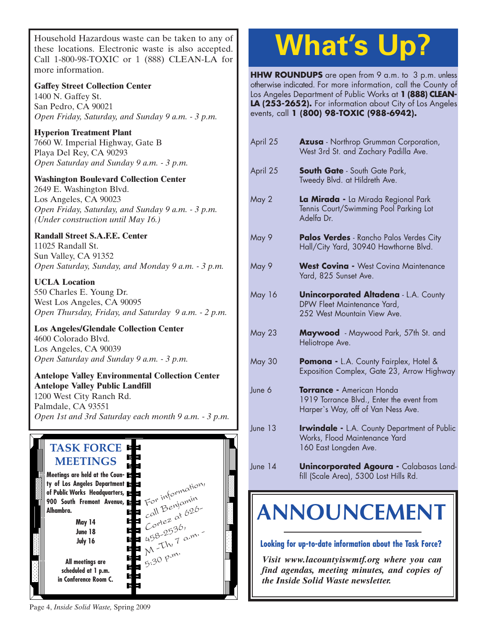Household Hazardous waste can be taken to any of these locations. Electronic waste is also accepted. Call 1-800-98-TOXIC or 1 (888) CLEAN-LA for more information.

**Gaffey Street Collection Center** 1400 N. Gaffey St. San Pedro, CA 90021 *Open Friday, Saturday, and Sunday 9 a.m. - 3 p.m.*

**Hyperion Treatment Plant** 7660 W. Imperial Highway, Gate B Playa Del Rey, CA 90293 *Open Saturday and Sunday 9 a.m. - 3 p.m.*

**Washington Boulevard Collection Center** 2649 E. Washington Blvd. Los Angeles, CA 90023 *Open Friday, Saturday, and Sunday 9 a.m. - 3 p.m. (Under construction until May 16.)*

**Randall Street S.A.F.E. Center** 11025 Randall St. Sun Valley, CA 91352 *Open Saturday, Sunday, and Monday 9 a.m. - 3 p.m.*

**UCLA Location** 550 Charles E. Young Dr. West Los Angeles, CA 90095 *[Open Thursday, Friday, and Saturday 9 a.m. - 2 p.m.](http://www.lacity.org/san/solid_resources/special/hhw/safe_centers/index.htm)*

**Los Angeles/Glendale Collection Center** 4600 Colorado Blvd. Los Angeles, CA 90039 *Open Saturday and Sunday 9 a.m. - 3 p.m.*

**Antelope Valley Environmental Collection Center Antelope Valley Public Landfill** 1200 West City Ranch Rd. Palmdale, CA 93551 *[Open 1st and 3rd Saturday each month 9 a.m. - 3 p.m.](http://ladpw.org/epd/avecc/index.cfm)*



# **What's Up?**

**HHW ROUNDUPS** are open from 9 a.m. to 3 p.m. unless otherwise indicated. For more information, call the County of Los Angeles Department of Public Works at **1 (888) CLEAN-LA (253-2652).** For information about City of Los Angeles events, call **1 (800) 98-TOXIC (988-6942).**

| April 25      | Azusa - Northrop Grumman Corporation,<br>West 3rd St. and Zachary Padilla Ave.                                |
|---------------|---------------------------------------------------------------------------------------------------------------|
| April 25      | <b>South Gate</b> - South Gate Park,<br>Tweedy Blvd. at Hildreth Ave.                                         |
| May 2         | La Mirada - La Mirada Regional Park<br>Tennis Court/Swimming Pool Parking Lot<br>Adelfa Dr.                   |
| May 9         | <b>Palos Verdes</b> - Rancho Palos Verdes City<br>Hall/City Yard, 30940 Hawthorne Blvd.                       |
| May 9         | West Covina - West Covina Maintenance<br>Yard, 825 Sunset Ave.                                                |
| May 16        | <b>Unincorporated Altadena - L.A. County</b><br>DPW Fleet Maintenance Yard,<br>252 West Mountain View Ave.    |
| <b>May 23</b> | Maywood - Maywood Park, 57th St. and<br>Heliotrope Ave.                                                       |
| <b>May 30</b> | Pomona - L.A. County Fairplex, Hotel &<br>Exposition Complex, Gate 23, Arrow Highway                          |
| June 6        | Torrance - American Honda<br>1919 Torrance Blvd., Enter the event from<br>Harper's Way, off of Van Ness Ave.  |
| June 13       | <b>Irwindale - L.A. County Department of Public</b><br>Works, Flood Maintenance Yard<br>160 East Longden Ave. |
| June 14       | <b>Unincorporated Agoura - Calabasas Land-</b><br>fill (Scale Area), 5300 Lost Hills Rd.                      |
|               | <b>OUNCEME</b>                                                                                                |

#### **Looking for up-to-date information about the Task Force?**

*Visit www.lacountyiswmtf.org where you can find agendas, meeting minutes, and copies of the Inside Solid Waste newsletter.*

Page 4, *Inside Solid Waste,* Spring 2009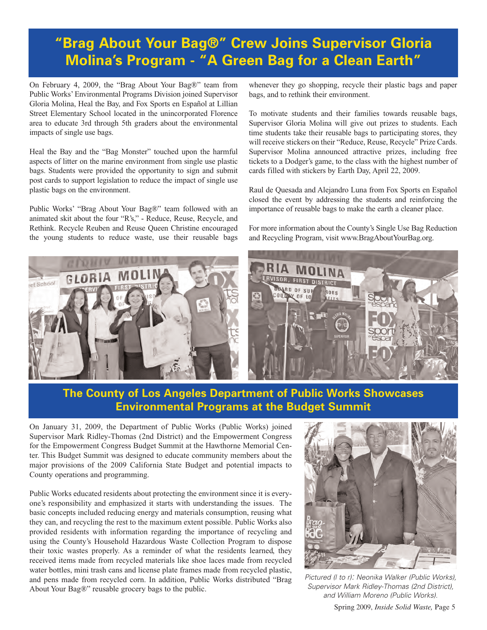## **"Brag About Your Bag®" Crew Joins Supervisor Gloria Molina's Program - "A Green Bag for a Clean Earth"**

On February 4, 2009, the "Brag About Your Bag®" team from Public Works' Environmental Programs Division joined Supervisor Gloria Molina, Heal the Bay, and Fox Sports en Español at Lillian Street Elementary School located in the unincorporated Florence area to educate 3rd through 5th graders about the environmental impacts of single use bags.

Heal the Bay and the "Bag Monster" touched upon the harmful aspects of litter on the marine environment from single use plastic bags. Students were provided the opportunity to sign and submit post cards to support legislation to reduce the impact of single use plastic bags on the environment.

Public Works' "Brag About Your Bag®" team followed with an animated skit about the four "R's," - Reduce, Reuse, Recycle, and Rethink. Recycle Reuben and Reuse Queen Christine encouraged the young students to reduce waste, use their reusable bags whenever they go shopping, recycle their plastic bags and paper bags, and to rethink their environment.

To motivate students and their families towards reusable bags, Supervisor Gloria Molina will give out prizes to students. Each time students take their reusable bags to participating stores, they will receive stickers on their "Reduce, Reuse, Recycle" Prize Cards. Supervisor Molina announced attractive prizes, including free tickets to a Dodger's game, to the class with the highest number of cards filled with stickers by Earth Day, April 22, 2009.

Raul de Quesada and Alejandro Luna from Fox Sports en Español closed the event by addressing the students and reinforcing the importance of reusable bags to make the earth a cleaner place.

For more information about the County's Single Use Bag Reduction and Recycling Program, visit [www.BragAboutYourBag.org.](http://www.bragaboutyourbag.org./)



#### **The County of Los Angeles Department of Public Works Showcases Environmental Programs at the Budget Summit**

On January 31, 2009, the Department of Public Works (Public Works) joined Supervisor Mark Ridley-Thomas (2nd District) and the Empowerment Congress for the Empowerment Congress Budget Summit at the Hawthorne Memorial Center. This Budget Summit was designed to educate community members about the major provisions of the 2009 California State Budget and potential impacts to County operations and programming.

Public Works educated residents about protecting the environment since it is everyone's responsibility and emphasized it starts with understanding the issues. The basic concepts included reducing energy and materials consumption, reusing what they can, and recycling the rest to the maximum extent possible. Public Works also provided residents with information regarding the importance of recycling and using the County's Household Hazardous Waste Collection Program to dispose their toxic wastes properly. As a reminder of what the residents learned, they received items made from recycled materials like shoe laces made from recycled water bottles, mini trash cans and license plate frames made from recycled plastic, and pens made from recycled corn. In addition, Public Works distributed "Brag About Your Bag®" reusable grocery bags to the public.



*Pictured (l to r): Neonika Walker (Public Works), Supervisor Mark Ridley-Thomas (2nd District), and William Moreno (Public Works).* 

Spring 2009, *Inside Solid Waste,* Page 5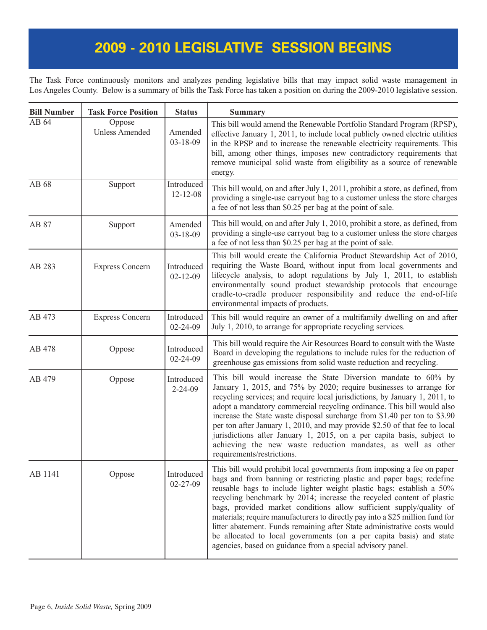## **2009 - 2010 LEGISLATIVE SESSION BEGINS**

The Task Force continuously monitors and analyzes pending legislative bills that may impact solid waste management in Los Angeles County. Below is a summary of bills the Task Force has taken a position on during the 2009-2010 legislative session.

| <b>Bill Number</b> | <b>Task Force Position</b>      | <b>Status</b>                | <b>Summary</b>                                                                                                                                                                                                                                                                                                                                                                                                                                                                                                                                                                                                                                                              |
|--------------------|---------------------------------|------------------------------|-----------------------------------------------------------------------------------------------------------------------------------------------------------------------------------------------------------------------------------------------------------------------------------------------------------------------------------------------------------------------------------------------------------------------------------------------------------------------------------------------------------------------------------------------------------------------------------------------------------------------------------------------------------------------------|
| AB 64              | Oppose<br><b>Unless Amended</b> | Amended<br>$03 - 18 - 09$    | This bill would amend the Renewable Portfolio Standard Program (RPSP),<br>effective January 1, 2011, to include local publicly owned electric utilities<br>in the RPSP and to increase the renewable electricity requirements. This<br>bill, among other things, imposes new contradictory requirements that<br>remove municipal solid waste from eligibility as a source of renewable<br>energy.                                                                                                                                                                                                                                                                           |
| AB 68              | Support                         | Introduced<br>$12 - 12 - 08$ | This bill would, on and after July 1, 2011, prohibit a store, as defined, from<br>providing a single-use carryout bag to a customer unless the store charges<br>a fee of not less than \$0.25 per bag at the point of sale.                                                                                                                                                                                                                                                                                                                                                                                                                                                 |
| AB 87              | Support                         | Amended<br>$03 - 18 - 09$    | This bill would, on and after July 1, 2010, prohibit a store, as defined, from<br>providing a single-use carryout bag to a customer unless the store charges<br>a fee of not less than \$0.25 per bag at the point of sale.                                                                                                                                                                                                                                                                                                                                                                                                                                                 |
| AB 283             | <b>Express Concern</b>          | Introduced<br>$02 - 12 - 09$ | This bill would create the California Product Stewardship Act of 2010,<br>requiring the Waste Board, without input from local governments and<br>lifecycle analysis, to adopt regulations by July 1, 2011, to establish<br>environmentally sound product stewardship protocols that encourage<br>cradle-to-cradle producer responsibility and reduce the end-of-life<br>environmental impacts of products.                                                                                                                                                                                                                                                                  |
| AB 473             | <b>Express Concern</b>          | Introduced<br>$02 - 24 - 09$ | This bill would require an owner of a multifamily dwelling on and after<br>July 1, 2010, to arrange for appropriate recycling services.                                                                                                                                                                                                                                                                                                                                                                                                                                                                                                                                     |
| AB 478             | Oppose                          | Introduced<br>$02 - 24 - 09$ | This bill would require the Air Resources Board to consult with the Waste<br>Board in developing the regulations to include rules for the reduction of<br>greenhouse gas emissions from solid waste reduction and recycling.                                                                                                                                                                                                                                                                                                                                                                                                                                                |
| AB 479             | Oppose                          | Introduced<br>$2 - 24 - 09$  | This bill would increase the State Diversion mandate to 60% by<br>January 1, 2015, and 75% by 2020; require businesses to arrange for<br>recycling services; and require local jurisdictions, by January 1, 2011, to<br>adopt a mandatory commercial recycling ordinance. This bill would also<br>increase the State waste disposal surcharge from \$1.40 per ton to \$3.90<br>per ton after January 1, 2010, and may provide \$2.50 of that fee to local<br>jurisdictions after January 1, 2015, on a per capita basis, subject to<br>achieving the new waste reduction mandates, as well as other<br>requirements/restrictions.                                           |
| AB 1141            | Oppose                          | Introduced<br>$02 - 27 - 09$ | This bill would prohibit local governments from imposing a fee on paper<br>bags and from banning or restricting plastic and paper bags; redefine<br>reusable bags to include lighter weight plastic bags; establish a 50%<br>recycling benchmark by 2014; increase the recycled content of plastic<br>bags, provided market conditions allow sufficient supply/quality of<br>materials; require manufacturers to directly pay into a \$25 million fund for<br>litter abatement. Funds remaining after State administrative costs would<br>be allocated to local governments (on a per capita basis) and state<br>agencies, based on guidance from a special advisory panel. |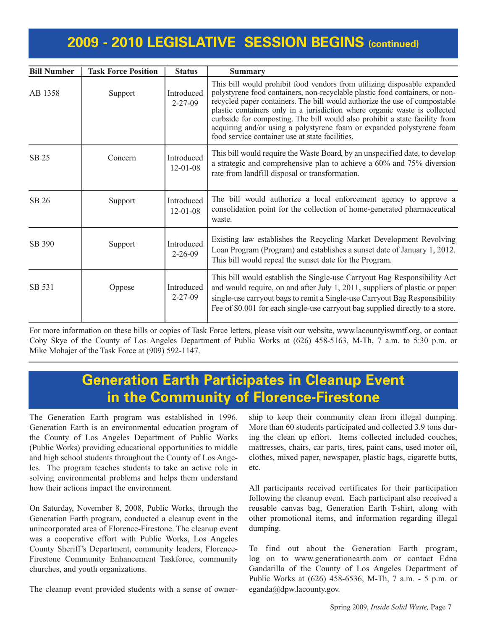## **2009 - 2010 LEGISLATIVE SESSION BEGINS (continued)**

| <b>Bill Number</b> | <b>Task Force Position</b> | <b>Status</b>                       | <b>Summary</b>                                                                                                                                                                                                                                                                                                                                                                                                                                                                                                                   |
|--------------------|----------------------------|-------------------------------------|----------------------------------------------------------------------------------------------------------------------------------------------------------------------------------------------------------------------------------------------------------------------------------------------------------------------------------------------------------------------------------------------------------------------------------------------------------------------------------------------------------------------------------|
| AB 1358            | Support                    | Introduced<br>$2 - 27 - 09$         | This bill would prohibit food vendors from utilizing disposable expanded<br>polystyrene food containers, non-recyclable plastic food containers, or non-<br>recycled paper containers. The bill would authorize the use of compostable<br>plastic containers only in a jurisdiction where organic waste is collected<br>curbside for composting. The bill would also prohibit a state facility from<br>acquiring and/or using a polystyrene foam or expanded polystyrene foam<br>food service container use at state facilities. |
| <b>SB 25</b>       | Concern                    | Introduced<br>$12 - 01 - 08$        | This bill would require the Waste Board, by an unspecified date, to develop<br>a strategic and comprehensive plan to achieve a 60% and 75% diversion<br>rate from landfill disposal or transformation.                                                                                                                                                                                                                                                                                                                           |
| SB 26              | Support                    | <b>Introduced</b><br>$12 - 01 - 08$ | The bill would authorize a local enforcement agency to approve a<br>consolidation point for the collection of home-generated pharmaceutical<br>waste.                                                                                                                                                                                                                                                                                                                                                                            |
| SB 390             | Support                    | Introduced<br>$2 - 26 - 09$         | Existing law establishes the Recycling Market Development Revolving<br>Loan Program (Program) and establishes a sunset date of January 1, 2012.<br>This bill would repeal the sunset date for the Program.                                                                                                                                                                                                                                                                                                                       |
| SB 531             | Oppose                     | Introduced<br>$2 - 27 - 09$         | This bill would establish the Single-use Carryout Bag Responsibility Act<br>and would require, on and after July 1, 2011, suppliers of plastic or paper<br>single-use carryout bags to remit a Single-use Carryout Bag Responsibility<br>Fee of \$0.001 for each single-use carryout bag supplied directly to a store.                                                                                                                                                                                                           |

For more information on these bills or copies of Task Force letters, please visit our website[, www.lacountyiswmtf.org,](http://dpw.lacounty.gov/epd/tf/) or contact Coby Skye of the County of Los Angeles Department of Public Works at (626) 458-5163, M-Th, 7 a.m. to 5:30 p.m. or Mike Mohajer of the Task Force at (909) 592-1147.

### **Generation Earth Participates in Cleanup Event in the Community of Florence-Firestone**

The Generation Earth program was established in 1996. Generation Earth is an environmental education program of the County of Los Angeles Department of Public Works (Public Works) providing educational opportunities to middle and high school students throughout the County of Los Angeles. The program teaches students to take an active role in solving environmental problems and helps them understand how their actions impact the environment.

On Saturday, November 8, 2008, Public Works, through the Generation Earth program, conducted a cleanup event in the unincorporated area of Florence-Firestone. The cleanup event was a cooperative effort with Public Works, Los Angeles County Sheriff's Department, community leaders, Florence-Firestone Community Enhancement Taskforce, community churches, and youth organizations.

The cleanup event provided students with a sense of owner-

ship to keep their community clean from illegal dumping. More than 60 students participated and collected 3.9 tons during the clean up effort. Items collected included couches, mattresses, chairs, car parts, tires, paint cans, used motor oil, clothes, mixed paper, newspaper, plastic bags, cigarette butts, etc.

All participants received certificates for their participation following the cleanup event. Each participant also received a reusable canvas bag, Generation Earth T-shirt, along with other promotional items, and information regarding illegal dumping.

To find out about the Generation Earth program, log on to www.generationearth.com or contact Edna Gandarilla of the County of Los Angeles Department of Public Works at (626) 458-6536, M-Th, 7 a.m. - 5 p.m. or <eganda@dpw.lacounty.gov.>